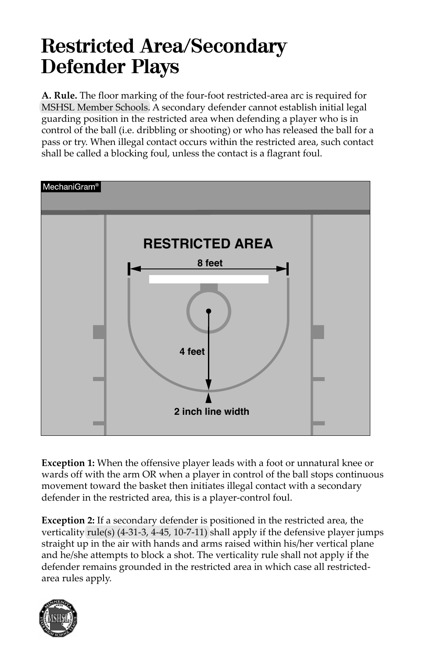## **Restricted Area/Secondary Defender Plays**

**A. Rule.** The floor marking of the four-foot restricted-area arc is required for MSHSL Member Schools. A secondary defender cannot establish initial legal guarding position in the restricted area when defending a player who is in control of the ball (i.e. dribbling or shooting) or who has released the ball for a pass or try. When illegal contact occurs within the restricted area, such contact shall be called a blocking foul, unless the contact is a flagrant foul.



**Exception 1:** When the offensive player leads with a foot or unnatural knee or wards off with the arm OR when a player in control of the ball stops continuous movement toward the basket then initiates illegal contact with a secondary defender in the restricted area, this is a player-control foul.

**Exception 2:** If a secondary defender is positioned in the restricted area, the verticality rule(s) (4-31-3, 4-45, 10-7-11) shall apply if the defensive player jumps straight up in the air with hands and arms raised within his/her vertical plane and he/she attempts to block a shot. The verticality rule shall not apply if the defender remains grounded in the restricted area in which case all restrictedarea rules apply.

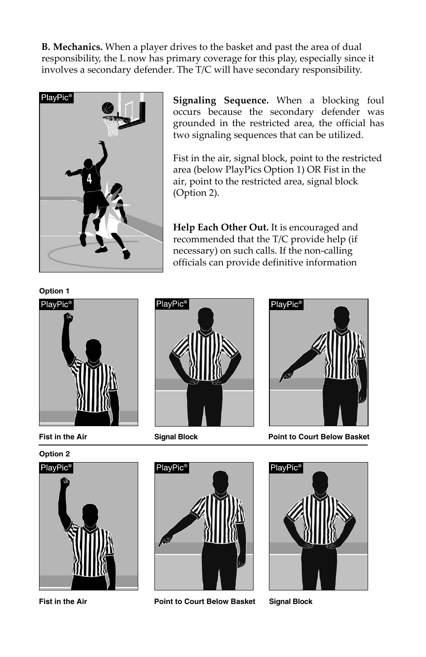**B. Mechanics.** When a player drives to the basket and past the area of dual responsibility, the L now has primary coverage for this play, especially since it involves a secondary defender. The T/C will have secondary responsibility.



**Signaling Sequence.** When a blocking foul occurs because the secondary defender was grounded in the restricted area, the official has two signaling sequences that can be utilized.

Fist in the air, signal block, point to the restricted area (below PlayPics Option 1) OR Fist in the air, point to the restricted area, signal block (Option 2).

**Help Each Other Out.** It is encouraged and recommended that the T/C provide help (if necessary) on such calls. If the non-calling officials can provide definitive information





**Fist in the Air**





**Fist in the Air**



**Signal Block**



**Point to Court Below Basket**



**Point to Court Below Basket Signal Block**